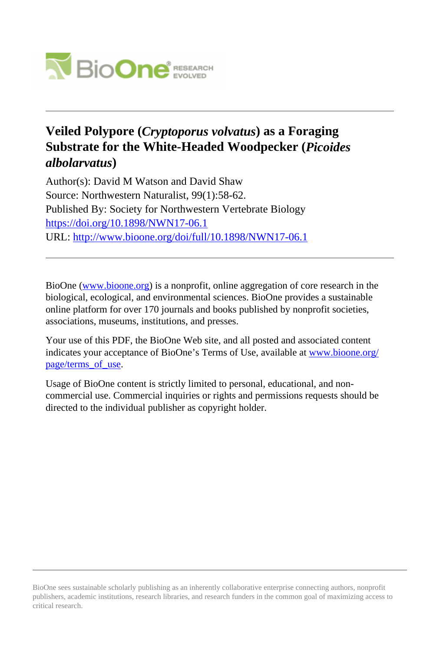

## **Veiled Polypore (***Cryptoporus volvatus***) as a Foraging Substrate for the White-Headed Woodpecker (***Picoides albolarvatus***)**

Author(s): David M Watson and David Shaw Source: Northwestern Naturalist, 99(1):58-62. Published By: Society for Northwestern Vertebrate Biology <https://doi.org/10.1898/NWN17-06.1> URL: <http://www.bioone.org/doi/full/10.1898/NWN17-06.1>

BioOne [\(www.bioone.org\)](http://www.bioone.org) is a nonprofit, online aggregation of core research in the biological, ecological, and environmental sciences. BioOne provides a sustainable online platform for over 170 journals and books published by nonprofit societies, associations, museums, institutions, and presses.

Your use of this PDF, the BioOne Web site, and all posted and associated content indicates your acceptance of BioOne's Terms of Use, available at [www.bioone.org/](http://www.bioone.org/page/terms_of_use) page/terms of use.

Usage of BioOne content is strictly limited to personal, educational, and noncommercial use. Commercial inquiries or rights and permissions requests should be directed to the individual publisher as copyright holder.

BioOne sees sustainable scholarly publishing as an inherently collaborative enterprise connecting authors, nonprofit publishers, academic institutions, research libraries, and research funders in the common goal of maximizing access to critical research.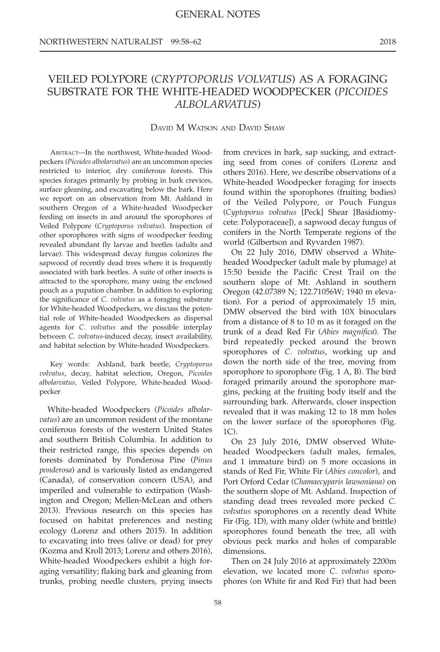## VEILED POLYPORE (CRYPTOPORUS VOLVATUS) AS A FORAGING SUBSTRATE FOR THE WHITE-HEADED WOODPECKER (PICOIDES ALBOLARVATUS)

## DAVID M WATSON AND DAVID SHAW

ABSTRACT—In the northwest, White-headed Woodpeckers (Picoides albolarvatus) are an uncommon species restricted to interior, dry coniferous forests. This species forages primarily by probing in bark crevices, surface gleaning, and excavating below the bark. Here we report on an observation from Mt. Ashland in southern Oregon of a White-headed Woodpecker feeding on insects in and around the sporophores of Veiled Polypore (Cryptoporus volvatus). Inspection of other sporophores with signs of woodpecker feeding revealed abundant fly larvae and beetles (adults and larvae). This widespread decay fungus colonizes the sapwood of recently dead trees where it is frequently associated with bark beetles. A suite of other insects is attracted to the sporophore, many using the enclosed pouch as a pupation chamber. In addition to exploring the significance of C. volvatus as a foraging substrate for White-headed Woodpeckers, we discuss the potential role of White-headed Woodpeckers as dispersal agents for C. volvatus and the possible interplay between C. volvatus-induced decay, insect availability, and habitat selection by White-headed Woodpeckers.

Key words: Ashland, bark beetle, Cryptoporus volvatus, decay, habitat selection, Oregon, Picoides albolarvatus, Veiled Polypore, White-headed Woodpecker

White-headed Woodpeckers (Picoides albolarvatus) are an uncommon resident of the montane coniferous forests of the western United States and southern British Columbia. In addition to their restricted range, this species depends on forests dominated by Ponderosa Pine (Pinus ponderosa) and is variously listed as endangered (Canada), of conservation concern (USA), and imperiled and vulnerable to extirpation (Washington and Oregon; Mellen-McLean and others 2013). Previous research on this species has focused on habitat preferences and nesting ecology (Lorenz and others 2015). In addition to excavating into trees (alive or dead) for prey (Kozma and Kroll 2013; Lorenz and others 2016), White-headed Woodpeckers exhibit a high foraging versatility; flaking bark and gleaning from trunks, probing needle clusters, prying insects

from crevices in bark, sap sucking, and extracting seed from cones of conifers (Lorenz and others 2016). Here, we describe observations of a White-headed Woodpecker foraging for insects found within the sporophores (fruiting bodies) of the Veiled Polypore, or Pouch Fungus (Cyptoporus volvatus [Peck] Shear [Basidiomycete: Polyporaceae]), a sapwood decay fungus of conifers in the North Temperate regions of the world (Gilbertson and Ryvarden 1987).

On 22 July 2016, DMW observed a Whiteheaded Woodpecker (adult male by plumage) at 15:50 beside the Pacific Crest Trail on the southern slope of Mt. Ashland in southern Oregon (42.07389 N; 122.71056W; 1940 m elevation). For a period of approximately 15 min, DMW observed the bird with 10X binoculars from a distance of 8 to 10 m as it foraged on the trunk of a dead Red Fir (Abies magnifica). The bird repeatedly pecked around the brown sporophores of C. volvatus, working up and down the north side of the tree, moving from sporophore to sporophore (Fig. 1 A, B). The bird foraged primarily around the sporophore margins, pecking at the fruiting body itself and the surrounding bark. Afterwards, closer inspection revealed that it was making 12 to 18 mm holes on the lower surface of the sporophores (Fig. 1C).

On 23 July 2016, DMW observed Whiteheaded Woodpeckers (adult males, females, and 1 immature bird) on 5 more occasions in stands of Red Fir, White Fir (Abies concolor), and Port Orford Cedar (Chamaecyparis lawsoniana) on the southern slope of Mt. Ashland. Inspection of standing dead trees revealed more pecked C. volvatus sporophores on a recently dead White Fir (Fig. 1D), with many older (white and brittle) sporophores found beneath the tree, all with obvious peck marks and holes of comparable dimensions.

Then on 24 July 2016 at approximately 2200m elevation, we located more C. volvatus sporophores (on White fir and Red Fir) that had been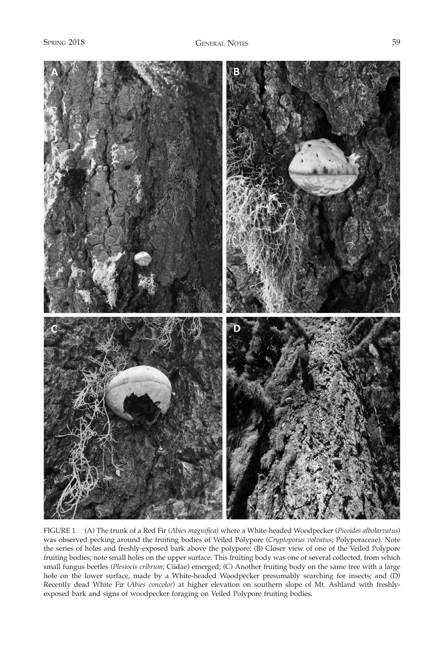

FIGURE 1. (A) The trunk of a Red Fir (Abies magnifica) where a White-headed Woodpecker (Picoides albolarvatus) was observed pecking around the fruiting bodies of Veiled Polypore (Cryptoporus volvatus; Polyporaceae). Note the series of holes and freshly-exposed bark above the polypore; (B) Closer view of one of the Veiled Polypore fruiting bodies; note small holes on the upper surface. This fruiting body was one of several collected, from which small fungus beetles (Plesiocis cribrum; Ciidae) emerged; (C) Another fruiting body on the same tree with a large hole on the lower surface, made by a White-headed Woodpecker presumably searching for insects; and (D) Recently dead White Fir (Abies concolor) at higher elevation on southern slope of Mt. Ashland with freshlyexposed bark and signs of woodpecker foraging on Veiled Polypore fruiting bodies.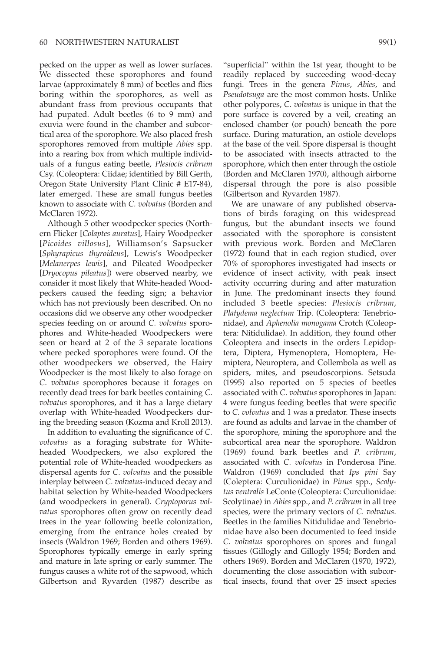pecked on the upper as well as lower surfaces. We dissected these sporophores and found larvae (approximately 8 mm) of beetles and flies boring within the sporophores, as well as abundant frass from previous occupants that had pupated. Adult beetles (6 to 9 mm) and exuvia were found in the chamber and subcortical area of the sporophore. We also placed fresh sporophores removed from multiple Abies spp. into a rearing box from which multiple individuals of a fungus eating beetle, Plesiocis cribrum Csy. (Coleoptera: Ciidae; identified by Bill Gerth, Oregon State University Plant Clinic # E17-84), later emerged. These are small fungus beetles known to associate with C. volvatus (Borden and McClaren 1972).

Although 5 other woodpecker species (Northern Flicker [Colaptes auratus], Hairy Woodpecker [Picoides villosus], Williamson's Sapsucker [Sphyrapicus thyroideus], Lewis's Woodpecker [Melanerpes lewis], and Pileated Woodpecker [Dryocopus pileatus]) were observed nearby, we consider it most likely that White-headed Woodpeckers caused the feeding sign; a behavior which has not previously been described. On no occasions did we observe any other woodpecker species feeding on or around C. volvatus sporophores and White-headed Woodpeckers were seen or heard at 2 of the 3 separate locations where pecked sporophores were found. Of the other woodpeckers we observed, the Hairy Woodpecker is the most likely to also forage on C. volvatus sporophores because it forages on recently dead trees for bark beetles containing C. volvatus sporophores, and it has a large dietary overlap with White-headed Woodpeckers during the breeding season (Kozma and Kroll 2013).

In addition to evaluating the significance of C. volvatus as a foraging substrate for Whiteheaded Woodpeckers, we also explored the potential role of White-headed woodpeckers as dispersal agents for C. volvatus and the possible interplay between C. volvatus-induced decay and habitat selection by White-headed Woodpeckers (and woodpeckers in general). Cryptoporus volvatus sporophores often grow on recently dead trees in the year following beetle colonization, emerging from the entrance holes created by insects (Waldron 1969; Borden and others 1969). Sporophores typically emerge in early spring and mature in late spring or early summer. The fungus causes a white rot of the sapwood, which Gilbertson and Ryvarden (1987) describe as

"superficial" within the 1st year, thought to be readily replaced by succeeding wood-decay fungi. Trees in the genera Pinus, Abies, and Pseudotsuga are the most common hosts. Unlike other polypores, C. volvatus is unique in that the pore surface is covered by a veil, creating an enclosed chamber (or pouch) beneath the pore surface. During maturation, an ostiole develops at the base of the veil. Spore dispersal is thought to be associated with insects attracted to the sporophore, which then enter through the ostiole (Borden and McClaren 1970), although airborne dispersal through the pore is also possible (Gilbertson and Ryvarden 1987).

We are unaware of any published observations of birds foraging on this widespread fungus, but the abundant insects we found associated with the sporophore is consistent with previous work. Borden and McClaren (1972) found that in each region studied, over 70% of sporophores investigated had insects or evidence of insect activity, with peak insect activity occurring during and after maturation in June. The predominant insects they found included 3 beetle species: Plesiocis cribrum, Platydema neglectum Trip. (Coleoptera: Tenebrionidae), and Aphenolia monogama Crotch (Coleoptera: Nitidulidae). In addition, they found other Coleoptera and insects in the orders Lepidoptera, Diptera, Hymenoptera, Homoptera, Hemiptera, Neuroptera, and Collembola as well as spiders, mites, and pseudoscorpions. Setsuda (1995) also reported on 5 species of beetles associated with C. volvatus sporophores in Japan: 4 were fungus feeding beetles that were specific to C. volvatus and 1 was a predator. These insects are found as adults and larvae in the chamber of the sporophore, mining the sporophore and the subcortical area near the sporophore. Waldron (1969) found bark beetles and P. cribrum, associated with C. volvatus in Ponderosa Pine. Waldron (1969) concluded that Ips pini Say (Coleptera: Curculionidae) in Pinus spp., Scolytus ventralis LeConte (Coleoptera: Curculionidae: Scolytinae) in Abies spp., and P. cribrum in all tree species, were the primary vectors of C. volvatus. Beetles in the families Nitidulidae and Tenebrionidae have also been documented to feed inside C. volvatus sporophores on spores and fungal tissues (Gillogly and Gillogly 1954; Borden and others 1969). Borden and McClaren (1970, 1972), documenting the close association with subcortical insects, found that over 25 insect species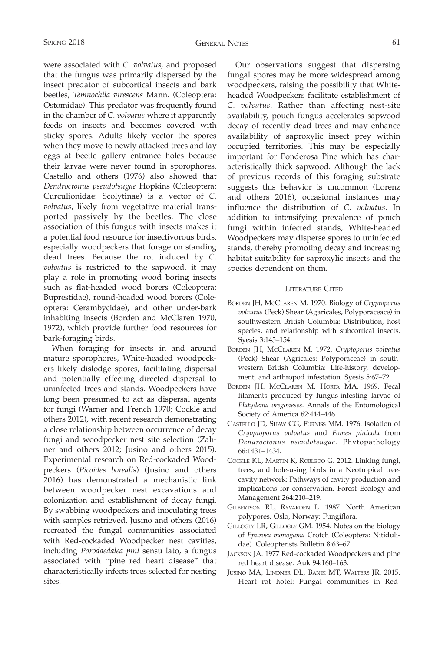were associated with C. volvatus, and proposed that the fungus was primarily dispersed by the insect predator of subcortical insects and bark beetles, Temnochila virescens Mann. (Coleoptera: Ostomidae). This predator was frequently found in the chamber of C. volvatus where it apparently feeds on insects and becomes covered with sticky spores. Adults likely vector the spores when they move to newly attacked trees and lay eggs at beetle gallery entrance holes because their larvae were never found in sporophores. Castello and others (1976) also showed that Dendroctonus pseudotsugae Hopkins (Coleoptera: Curculionidae: Scolytinae) is a vector of C. volvatus, likely from vegetative material transported passively by the beetles. The close association of this fungus with insects makes it a potential food resource for insectivorous birds, especially woodpeckers that forage on standing dead trees. Because the rot induced by C. volvatus is restricted to the sapwood, it may play a role in promoting wood boring insects such as flat-headed wood borers (Coleoptera: Buprestidae), round-headed wood borers (Coleoptera: Cerambycidae), and other under-bark inhabiting insects (Borden and McClaren 1970, 1972), which provide further food resources for bark-foraging birds.

When foraging for insects in and around mature sporophores, White-headed woodpeckers likely dislodge spores, facilitating dispersal and potentially effecting directed dispersal to uninfected trees and stands. Woodpeckers have long been presumed to act as dispersal agents for fungi (Warner and French 1970; Cockle and others 2012), with recent research demonstrating a close relationship between occurrence of decay fungi and woodpecker nest site selection (Zahner and others 2012; Jusino and others 2015). Experimental research on Red-cockaded Woodpeckers (Picoides borealis) (Jusino and others 2016) has demonstrated a mechanistic link between woodpecker nest excavations and colonization and establishment of decay fungi. By swabbing woodpeckers and inoculating trees with samples retrieved, Jusino and others (2016) recreated the fungal communities associated with Red-cockaded Woodpecker nest cavities, including Porodaedalea pini sensu lato, a fungus associated with ''pine red heart disease'' that characteristically infects trees selected for nesting sites.

Our observations suggest that dispersing fungal spores may be more widespread among woodpeckers, raising the possibility that Whiteheaded Woodpeckers facilitate establishment of C. volvatus. Rather than affecting nest-site availability, pouch fungus accelerates sapwood decay of recently dead trees and may enhance availability of saproxylic insect prey within occupied territories. This may be especially important for Ponderosa Pine which has characteristically thick sapwood. Although the lack of previous records of this foraging substrate suggests this behavior is uncommon (Lorenz and others 2016), occasional instances may influence the distribution of C. volvatus. In addition to intensifying prevalence of pouch fungi within infected stands, White-headed Woodpeckers may disperse spores to uninfected stands, thereby promoting decay and increasing habitat suitability for saproxylic insects and the species dependent on them.

## LITERATURE CITED

- BORDEN JH, MCCLAREN M. 1970. Biology of Cryptoporus volvatus (Peck) Shear (Agaricales, Polyporaceace) in southwestern British Columbia: Distribution, host species, and relationship with subcortical insects. Syesis 3:145–154.
- BORDEN JH, MCCLAREN M. 1972. Cryptoporus volvatus (Peck) Shear (Agricales: Polyporaceae) in southwestern British Columbia: Life-history, development, and arthropod infestation. Syesis 5:67–72.
- BORDEN JH. MCCLAREN M, HORTA MA. 1969. Fecal filaments produced by fungus-infesting larvae of Platydema oregoneses. Annals of the Entomological Society of America 62:444–446.
- CASTELLO JD, SHAW CG, FURNISS MM. 1976. Isolation of Cryoptoporus volvatus and Fomes pinicola from Dendroctonus pseudotsugae. Phytopathology 66:1431–1434.
- COCKLE KL, MARTIN K, ROBLEDO G. 2012. Linking fungi, trees, and hole-using birds in a Neotropical treecavity network: Pathways of cavity production and implications for conservation. Forest Ecology and Management 264:210–219.
- GILBERTSON RL, RYVARDEN L. 1987. North American polypores. Oslo, Norway: Fungiflora.
- GILLOGLY LR, GILLOGLY GM. 1954. Notes on the biology of Epuroea monogama Crotch (Coleoptera: Nitidulidae). Coleopterists Bulletin 8:63–67.
- JACKSON JA. 1977 Red-cockaded Woodpeckers and pine red heart disease. Auk 94:160–163.
- JUSINO MA, LINDNER DL, BANIK MT, WALTERS JR. 2015. Heart rot hotel: Fungal communities in Red-